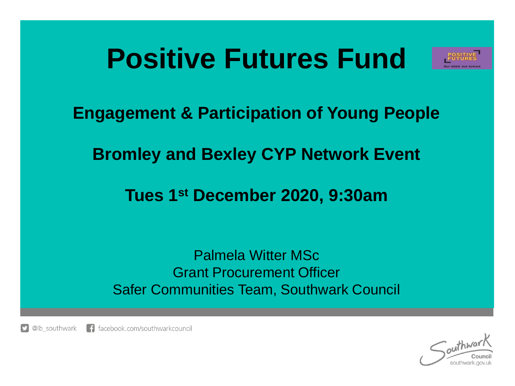## **Positive Futures Fund**



**Engagement & Participation of Young People**

**Bromley and Bexley CYP Network Event** 

**Tues 1st December 2020, 9:30am**

Palmela Witter MSc Grant Procurement Officer Safer Communities Team, Southwark Council

@lb\_southwark  $\Box$  facebook.com/southwarkcouncil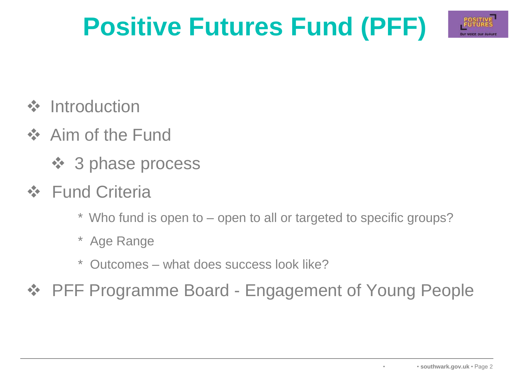## **Positive Futures Fund (PFF)**



- ❖ Introduction
- ❖ Aim of the Fund
	- ❖ 3 phase process
- ❖ Fund Criteria
	- \* Who fund is open to open to all or targeted to specific groups?
	- \* Age Range
	- \* Outcomes what does success look like?
- ❖ PFF Programme Board Engagement of Young People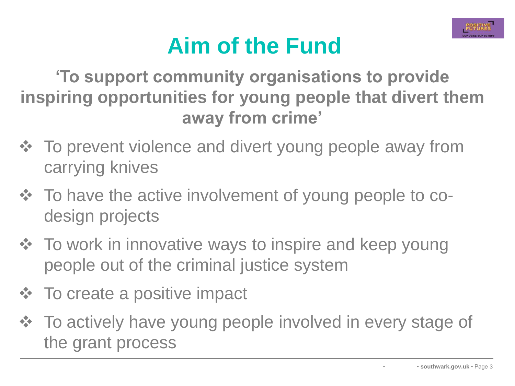

## **Aim of the Fund**

**'To support community organisations to provide inspiring opportunities for young people that divert them away from crime'**

- ❖ To prevent violence and divert young people away from carrying knives
- ❖ To have the active involvement of young people to codesign projects
- ❖ To work in innovative ways to inspire and keep young people out of the criminal justice system
- ❖ To create a positive impact
- ❖ To actively have young people involved in every stage of the grant process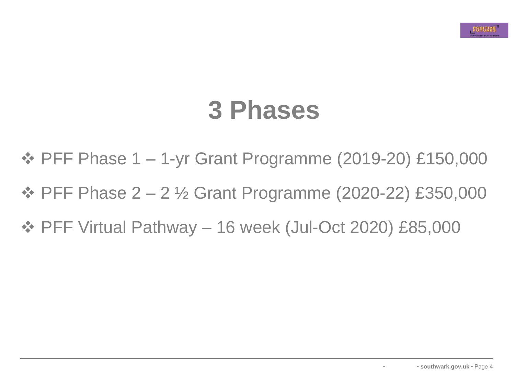## **3 Phases**

- ❖ PFF Phase 1 1-yr Grant Programme (2019-20) £150,000
- ❖ PFF Phase 2 2 ½ Grant Programme (2020-22) £350,000
- ❖ PFF Virtual Pathway 16 week (Jul-Oct 2020) £85,000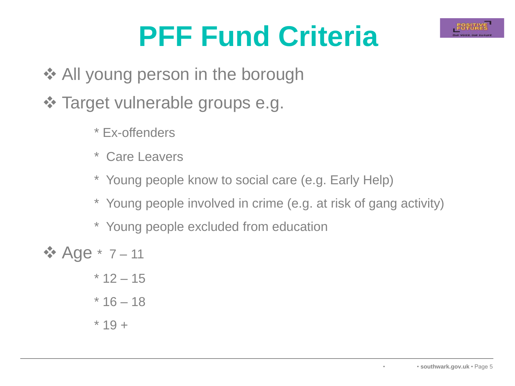

# **PFF Fund Criteria**

- **❖ All young person in the borough**
- ❖ Target vulnerable groups e.g.
	- \* Ex-offenders
	- \* Care Leavers
	- \* Young people know to social care (e.g. Early Help)
	- \* Young people involved in crime (e.g. at risk of gang activity)
	- \* Young people excluded from education

❖ Age \* 7 – 11 \* 12 – 15 \* 16 – 18 \* 19 +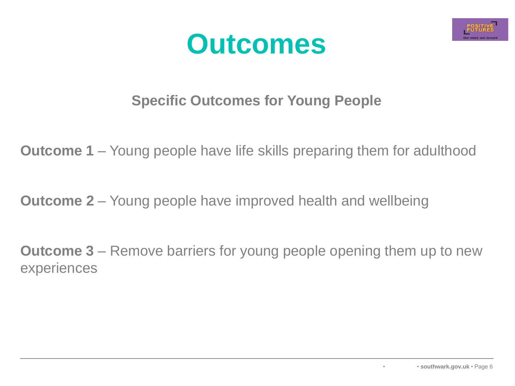



#### **Specific Outcomes for Young People**

**Outcome 1** – Young people have life skills preparing them for adulthood

**Outcome 2** – Young people have improved health and wellbeing

**Outcome 3** – Remove barriers for young people opening them up to new experiences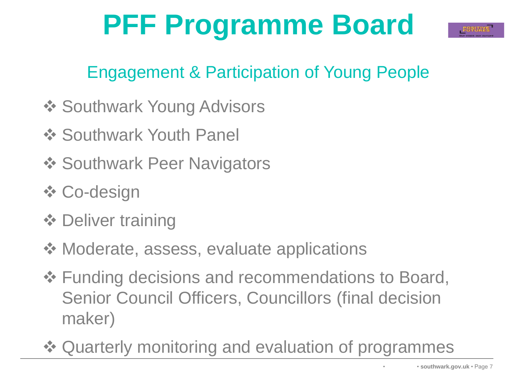# **PFF Programme Board**



### Engagement & Participation of Young People

- **❖ Southwark Young Advisors**
- **❖ Southwark Youth Panel**
- **❖ Southwark Peer Navigators**
- ❖ Co-design
- ❖ Deliver training
- ❖ Moderate, assess, evaluate applications
- ❖ Funding decisions and recommendations to Board, Senior Council Officers, Councillors (final decision maker)
- ❖ Quarterly monitoring and evaluation of programmes